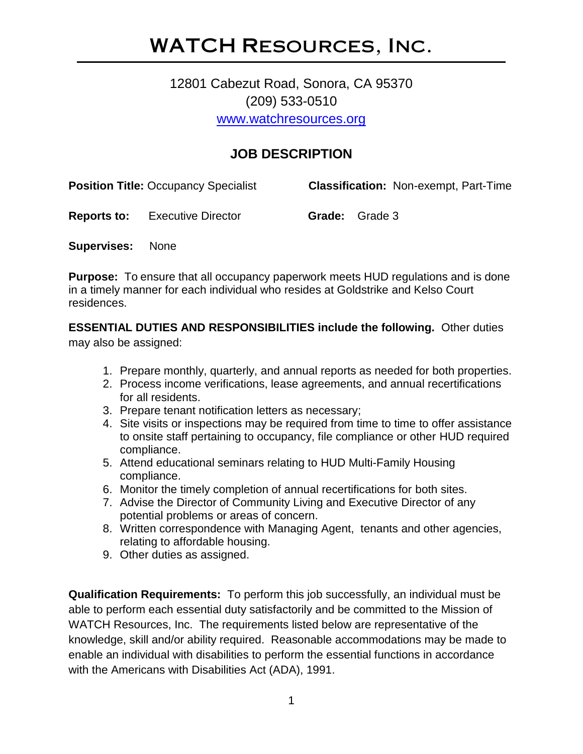# WATCH Resources, Inc.

# 12801 Cabezut Road, Sonora, CA 95370 (209) 533-0510 [www.watchresources.org](http://www.watchresources.org/)

# **JOB DESCRIPTION**

| <b>Position Title: Occupancy Specialist</b> | <b>Classification: Non-exempt, Part-Time</b> |  |
|---------------------------------------------|----------------------------------------------|--|
|                                             |                                              |  |

**Reports to:** Executive Director **Grade:** Grade 3

**Supervises:** None

**Purpose:** To ensure that all occupancy paperwork meets HUD regulations and is done in a timely manner for each individual who resides at Goldstrike and Kelso Court residences.

**ESSENTIAL DUTIES AND RESPONSIBILITIES include the following.** Other duties may also be assigned:

- 1. Prepare monthly, quarterly, and annual reports as needed for both properties.
- 2. Process income verifications, lease agreements, and annual recertifications for all residents.
- 3. Prepare tenant notification letters as necessary;
- 4. Site visits or inspections may be required from time to time to offer assistance to onsite staff pertaining to occupancy, file compliance or other HUD required compliance.
- 5. Attend educational seminars relating to HUD Multi-Family Housing compliance.
- 6. Monitor the timely completion of annual recertifications for both sites.
- 7. Advise the Director of Community Living and Executive Director of any potential problems or areas of concern.
- 8. Written correspondence with Managing Agent, tenants and other agencies, relating to affordable housing.
- 9. Other duties as assigned.

**Qualification Requirements:** To perform this job successfully, an individual must be able to perform each essential duty satisfactorily and be committed to the Mission of WATCH Resources, Inc. The requirements listed below are representative of the knowledge, skill and/or ability required. Reasonable accommodations may be made to enable an individual with disabilities to perform the essential functions in accordance with the Americans with Disabilities Act (ADA), 1991.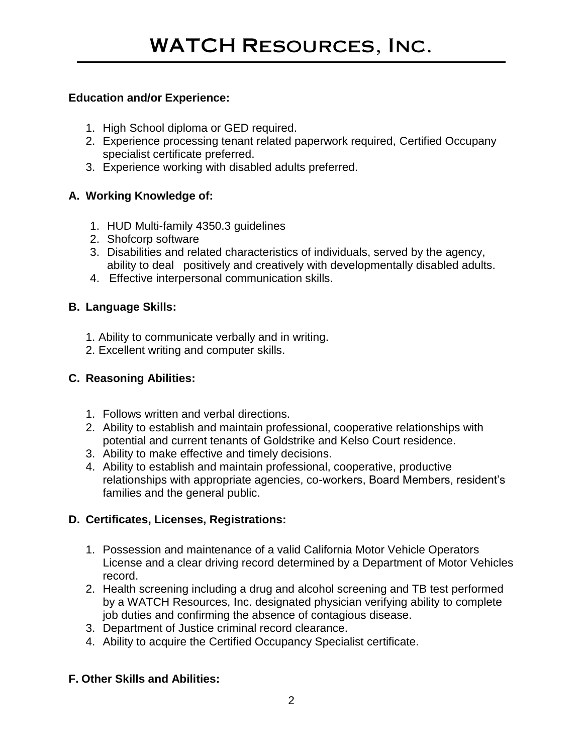#### **Education and/or Experience:**

- 1. High School diploma or GED required.
- 2. Experience processing tenant related paperwork required, Certified Occupany specialist certificate preferred.
- 3. Experience working with disabled adults preferred.

## **A. Working Knowledge of:**

- 1. HUD Multi-family 4350.3 guidelines
- 2. Shofcorp software
- 3. Disabilities and related characteristics of individuals, served by the agency, ability to deal positively and creatively with developmentally disabled adults.
- 4. Effective interpersonal communication skills.

## **B. Language Skills:**

- 1. Ability to communicate verbally and in writing.
- 2. Excellent writing and computer skills.

#### **C. Reasoning Abilities:**

- 1. Follows written and verbal directions.
- 2. Ability to establish and maintain professional, cooperative relationships with potential and current tenants of Goldstrike and Kelso Court residence.
- 3. Ability to make effective and timely decisions.
- 4. Ability to establish and maintain professional, cooperative, productive relationships with appropriate agencies, co-workers, Board Members, resident's families and the general public.

#### **D. Certificates, Licenses, Registrations:**

- 1. Possession and maintenance of a valid California Motor Vehicle Operators License and a clear driving record determined by a Department of Motor Vehicles record.
- 2. Health screening including a drug and alcohol screening and TB test performed by a WATCH Resources, Inc. designated physician verifying ability to complete job duties and confirming the absence of contagious disease.
- 3. Department of Justice criminal record clearance.
- 4. Ability to acquire the Certified Occupancy Specialist certificate.

#### **F. Other Skills and Abilities:**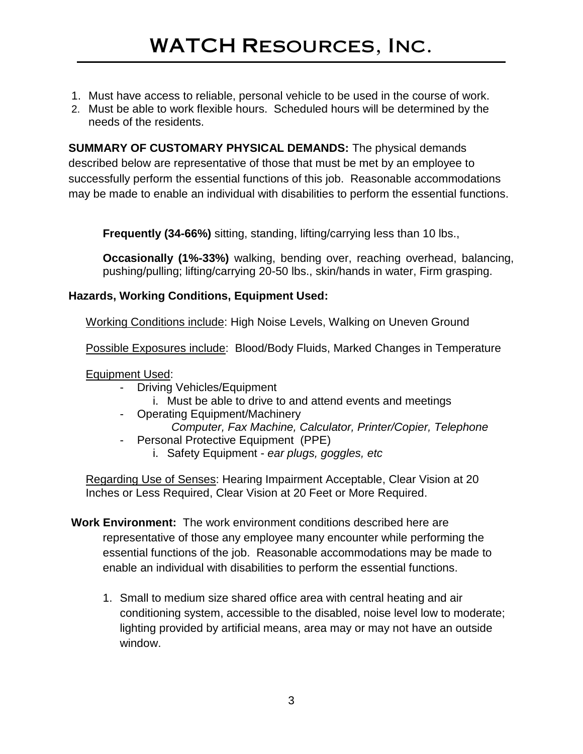- 1. Must have access to reliable, personal vehicle to be used in the course of work.
- 2. Must be able to work flexible hours. Scheduled hours will be determined by the needs of the residents.

**SUMMARY OF CUSTOMARY PHYSICAL DEMANDS:** The physical demands described below are representative of those that must be met by an employee to successfully perform the essential functions of this job. Reasonable accommodations may be made to enable an individual with disabilities to perform the essential functions.

**Frequently (34-66%)** sitting, standing, lifting/carrying less than 10 lbs.,

**Occasionally (1%-33%)** walking, bending over, reaching overhead, balancing, pushing/pulling; lifting/carrying 20-50 lbs., skin/hands in water, Firm grasping.

## **Hazards, Working Conditions, Equipment Used:**

Working Conditions include: High Noise Levels, Walking on Uneven Ground

Possible Exposures include: Blood/Body Fluids, Marked Changes in Temperature

Equipment Used:

- Driving Vehicles/Equipment
	- i. Must be able to drive to and attend events and meetings
- Operating Equipment/Machinery
- *Computer, Fax Machine, Calculator, Printer/Copier, Telephone*  - Personal Protective Equipment (PPE)
	- i. Safety Equipment *ear plugs, goggles, etc*

Regarding Use of Senses: Hearing Impairment Acceptable, Clear Vision at 20 Inches or Less Required, Clear Vision at 20 Feet or More Required.

- **Work Environment:** The work environment conditions described here are representative of those any employee many encounter while performing the essential functions of the job. Reasonable accommodations may be made to enable an individual with disabilities to perform the essential functions.
	- 1. Small to medium size shared office area with central heating and air conditioning system, accessible to the disabled, noise level low to moderate; lighting provided by artificial means, area may or may not have an outside window.